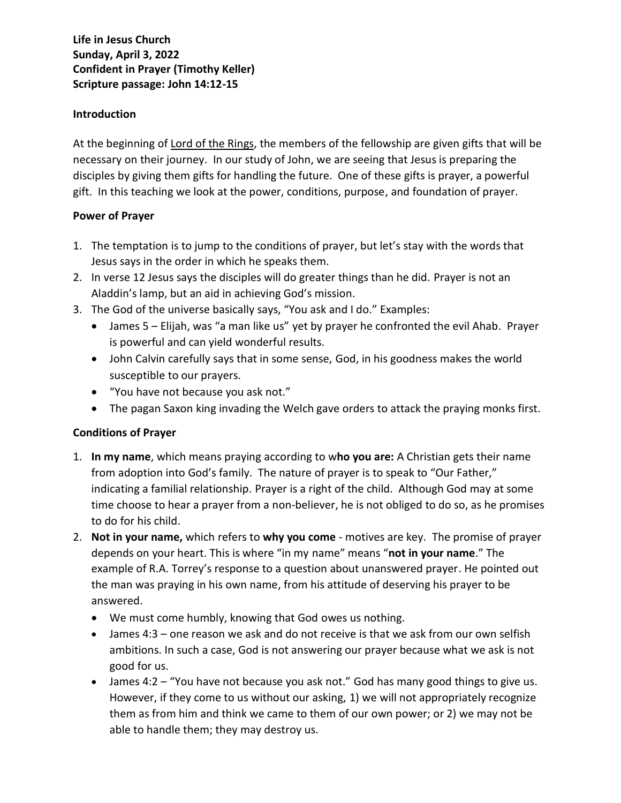# **Life in Jesus Church Sunday, April 3, 2022 Confident in Prayer (Timothy Keller) Scripture passage: John 14:12-15**

## **Introduction**

At the beginning of Lord of the Rings, the members of the fellowship are given gifts that will be necessary on their journey. In our study of John, we are seeing that Jesus is preparing the disciples by giving them gifts for handling the future. One of these gifts is prayer, a powerful gift. In this teaching we look at the power, conditions, purpose, and foundation of prayer.

### **Power of Prayer**

- 1. The temptation is to jump to the conditions of prayer, but let's stay with the words that Jesus says in the order in which he speaks them.
- 2. In verse 12 Jesus says the disciples will do greater things than he did. Prayer is not an Aladdin's lamp, but an aid in achieving God's mission.
- 3. The God of the universe basically says, "You ask and I do." Examples:
	- James 5 Elijah, was "a man like us" yet by prayer he confronted the evil Ahab. Prayer is powerful and can yield wonderful results.
	- John Calvin carefully says that in some sense, God, in his goodness makes the world susceptible to our prayers.
	- "You have not because you ask not."
	- The pagan Saxon king invading the Welch gave orders to attack the praying monks first.

# **Conditions of Prayer**

- 1. **In my name**, which means praying according to w**ho you are:** A Christian gets their name from adoption into God's family. The nature of prayer is to speak to "Our Father," indicating a familial relationship. Prayer is a right of the child. Although God may at some time choose to hear a prayer from a non-believer, he is not obliged to do so, as he promises to do for his child.
- 2. **Not in your name,** which refers to **why you come** motives are key. The promise of prayer depends on your heart. This is where "in my name" means "**not in your name**." The example of R.A. Torrey's response to a question about unanswered prayer. He pointed out the man was praying in his own name, from his attitude of deserving his prayer to be answered.
	- We must come humbly, knowing that God owes us nothing.
	- James 4:3 one reason we ask and do not receive is that we ask from our own selfish ambitions. In such a case, God is not answering our prayer because what we ask is not good for us.
	- James 4:2 "You have not because you ask not." God has many good things to give us. However, if they come to us without our asking, 1) we will not appropriately recognize them as from him and think we came to them of our own power; or 2) we may not be able to handle them; they may destroy us.